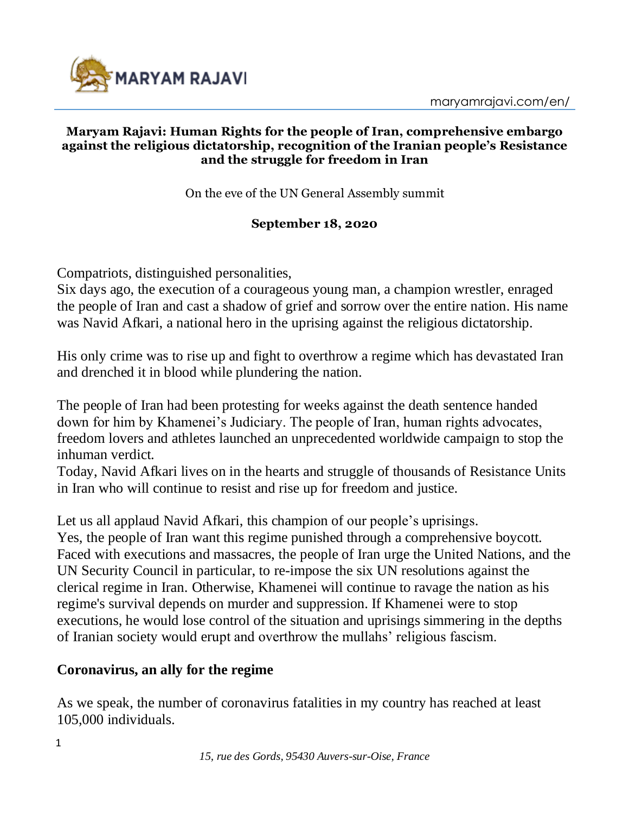

#### **Maryam Rajavi: Human Rights for the people of Iran, comprehensive embargo against the religious dictatorship, recognition of the Iranian people's Resistance and the struggle for freedom in Iran**

On the eve of the UN General Assembly summit

#### **September 18, 2020**

Compatriots, distinguished personalities,

Six days ago, the execution of a courageous young man, a champion wrestler, enraged the people of Iran and cast a shadow of grief and sorrow over the entire nation. His name was Navid Afkari, a national hero in the uprising against the religious dictatorship.

His only crime was to rise up and fight to overthrow a regime which has devastated Iran and drenched it in blood while plundering the nation.

The people of Iran had been protesting for weeks against the death sentence handed down for him by Khamenei's Judiciary. The people of Iran, human rights advocates, freedom lovers and athletes launched an unprecedented worldwide campaign to stop the inhuman verdict.

Today, Navid Afkari lives on in the hearts and struggle of thousands of Resistance Units in Iran who will continue to resist and rise up for freedom and justice.

Let us all applaud Navid Afkari, this champion of our people's uprisings. Yes, the people of Iran want this regime punished through a comprehensive boycott. Faced with executions and massacres, the people of Iran urge the United Nations, and the UN Security Council in particular, to re-impose the six UN resolutions against the clerical regime in Iran. Otherwise, Khamenei will continue to ravage the nation as his regime's survival depends on murder and suppression. If Khamenei were to stop executions, he would lose control of the situation and uprisings simmering in the depths of Iranian society would erupt and overthrow the mullahs' religious fascism.

### **Coronavirus, an ally for the regime**

As we speak, the number of coronavirus fatalities in my country has reached at least 105,000 individuals.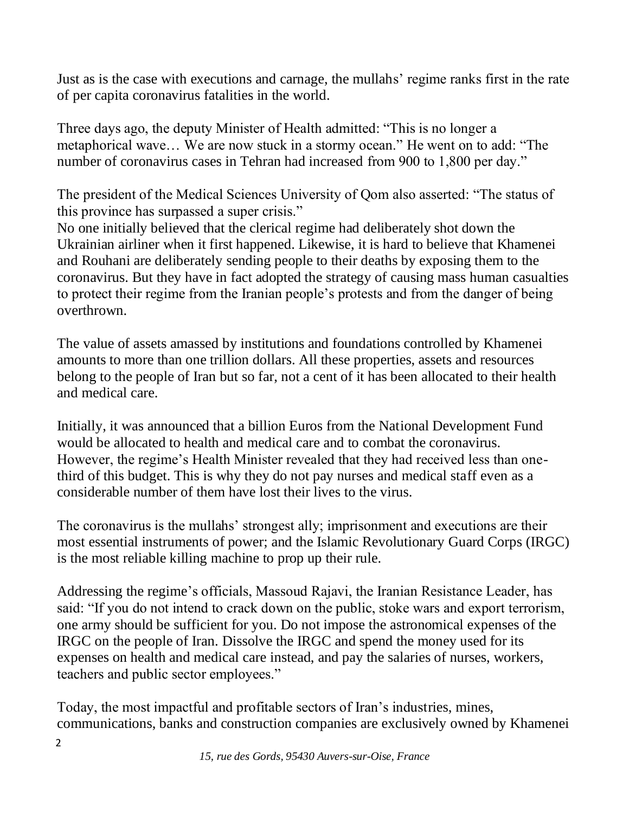Just as is the case with executions and carnage, the mullahs' regime ranks first in the rate of per capita coronavirus fatalities in the world.

Three days ago, the deputy Minister of Health admitted: "This is no longer a metaphorical wave… We are now stuck in a stormy ocean." He went on to add: "The number of coronavirus cases in Tehran had increased from 900 to 1,800 per day."

The president of the Medical Sciences University of Qom also asserted: "The status of this province has surpassed a super crisis."

No one initially believed that the clerical regime had deliberately shot down the Ukrainian airliner when it first happened. Likewise, it is hard to believe that Khamenei and Rouhani are deliberately sending people to their deaths by exposing them to the coronavirus. But they have in fact adopted the strategy of causing mass human casualties to protect their regime from the Iranian people's protests and from the danger of being overthrown.

The value of assets amassed by institutions and foundations controlled by Khamenei amounts to more than one trillion dollars. All these properties, assets and resources belong to the people of Iran but so far, not a cent of it has been allocated to their health and medical care.

Initially, it was announced that a billion Euros from the National Development Fund would be allocated to health and medical care and to combat the coronavirus. However, the regime's Health Minister revealed that they had received less than onethird of this budget. This is why they do not pay nurses and medical staff even as a considerable number of them have lost their lives to the virus.

The coronavirus is the mullahs' strongest ally; imprisonment and executions are their most essential instruments of power; and the Islamic Revolutionary Guard Corps (IRGC) is the most reliable killing machine to prop up their rule.

Addressing the regime's officials, Massoud Rajavi, the Iranian Resistance Leader, has said: "If you do not intend to crack down on the public, stoke wars and export terrorism, one army should be sufficient for you. Do not impose the astronomical expenses of the IRGC on the people of Iran. Dissolve the IRGC and spend the money used for its expenses on health and medical care instead, and pay the salaries of nurses, workers, teachers and public sector employees."

Today, the most impactful and profitable sectors of Iran's industries, mines, communications, banks and construction companies are exclusively owned by Khamenei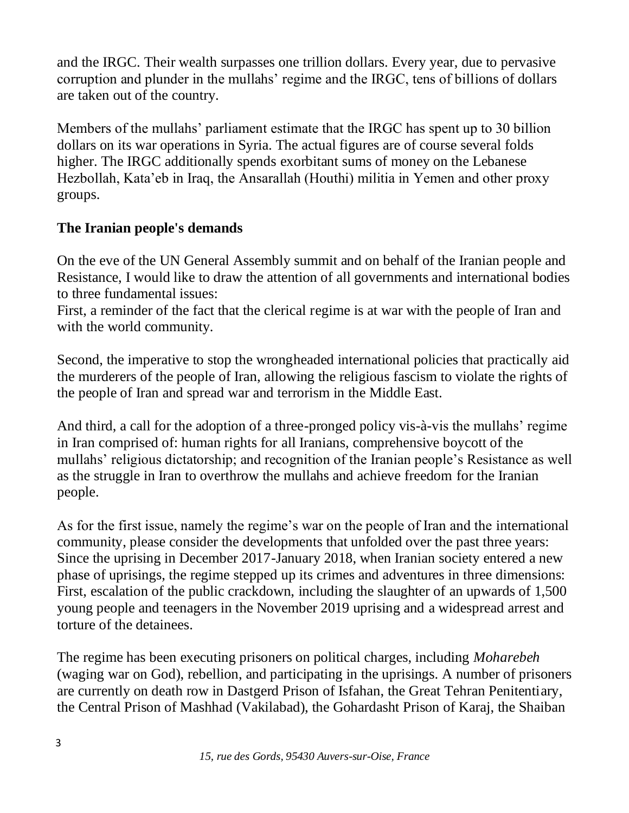and the IRGC. Their wealth surpasses one trillion dollars. Every year, due to pervasive corruption and plunder in the mullahs' regime and the IRGC, tens of billions of dollars are taken out of the country.

Members of the mullahs' parliament estimate that the IRGC has spent up to 30 billion dollars on its war operations in Syria. The actual figures are of course several folds higher. The IRGC additionally spends exorbitant sums of money on the Lebanese Hezbollah, Kata'eb in Iraq, the Ansarallah (Houthi) militia in Yemen and other proxy groups.

# **The Iranian people's demands**

On the eve of the UN General Assembly summit and on behalf of the Iranian people and Resistance, I would like to draw the attention of all governments and international bodies to three fundamental issues:

First, a reminder of the fact that the clerical regime is at war with the people of Iran and with the world community.

Second, the imperative to stop the wrongheaded international policies that practically aid the murderers of the people of Iran, allowing the religious fascism to violate the rights of the people of Iran and spread war and terrorism in the Middle East.

And third, a call for the adoption of a three-pronged policy vis-à-vis the mullahs' regime in Iran comprised of: human rights for all Iranians, comprehensive boycott of the mullahs' religious dictatorship; and recognition of the Iranian people's Resistance as well as the struggle in Iran to overthrow the mullahs and achieve freedom for the Iranian people.

As for the first issue, namely the regime's war on the people of Iran and the international community, please consider the developments that unfolded over the past three years: Since the uprising in December 2017-January 2018, when Iranian society entered a new phase of uprisings, the regime stepped up its crimes and adventures in three dimensions: First, escalation of the public crackdown, including the slaughter of an upwards of 1,500 young people and teenagers in the November 2019 uprising and a widespread arrest and torture of the detainees.

The regime has been executing prisoners on political charges, including *Moharebeh* (waging war on God), rebellion, and participating in the uprisings. A number of prisoners are currently on death row in Dastgerd Prison of Isfahan, the Great Tehran Penitentiary, the Central Prison of Mashhad (Vakilabad), the Gohardasht Prison of Karaj, the Shaiban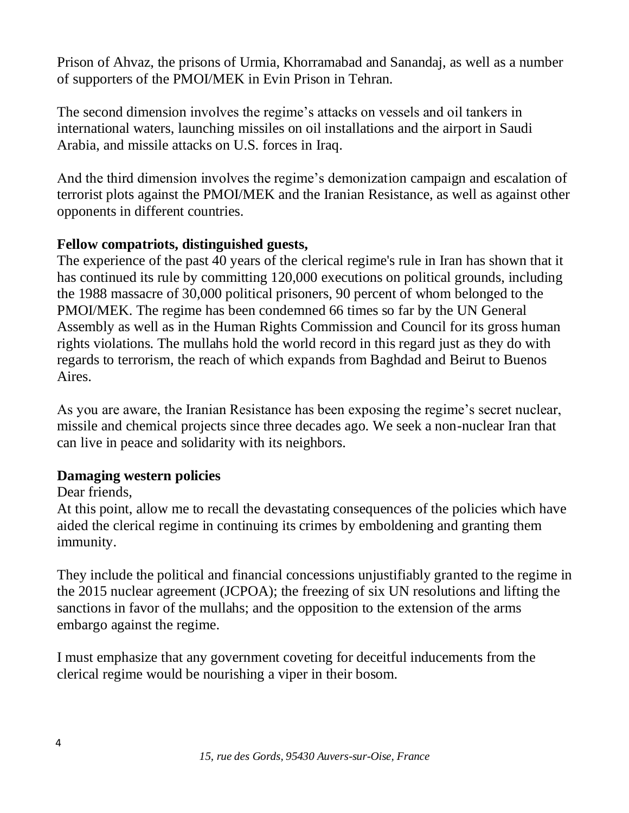Prison of Ahvaz, the prisons of Urmia, Khorramabad and Sanandaj, as well as a number of supporters of the PMOI/MEK in Evin Prison in Tehran.

The second dimension involves the regime's attacks on vessels and oil tankers in international waters, launching missiles on oil installations and the airport in Saudi Arabia, and missile attacks on U.S. forces in Iraq.

And the third dimension involves the regime's demonization campaign and escalation of terrorist plots against the PMOI/MEK and the Iranian Resistance, as well as against other opponents in different countries.

## **Fellow compatriots, distinguished guests,**

The experience of the past 40 years of the clerical regime's rule in Iran has shown that it has continued its rule by committing 120,000 executions on political grounds, including the 1988 massacre of 30,000 political prisoners, 90 percent of whom belonged to the PMOI/MEK. The regime has been condemned 66 times so far by the UN General Assembly as well as in the Human Rights Commission and Council for its gross human rights violations. The mullahs hold the world record in this regard just as they do with regards to terrorism, the reach of which expands from Baghdad and Beirut to Buenos Aires.

As you are aware, the Iranian Resistance has been exposing the regime's secret nuclear, missile and chemical projects since three decades ago. We seek a non-nuclear Iran that can live in peace and solidarity with its neighbors.

# **Damaging western policies**

### Dear friends,

At this point, allow me to recall the devastating consequences of the policies which have aided the clerical regime in continuing its crimes by emboldening and granting them immunity.

They include the political and financial concessions unjustifiably granted to the regime in the 2015 nuclear agreement (JCPOA); the freezing of six UN resolutions and lifting the sanctions in favor of the mullahs; and the opposition to the extension of the arms embargo against the regime.

I must emphasize that any government coveting for deceitful inducements from the clerical regime would be nourishing a viper in their bosom.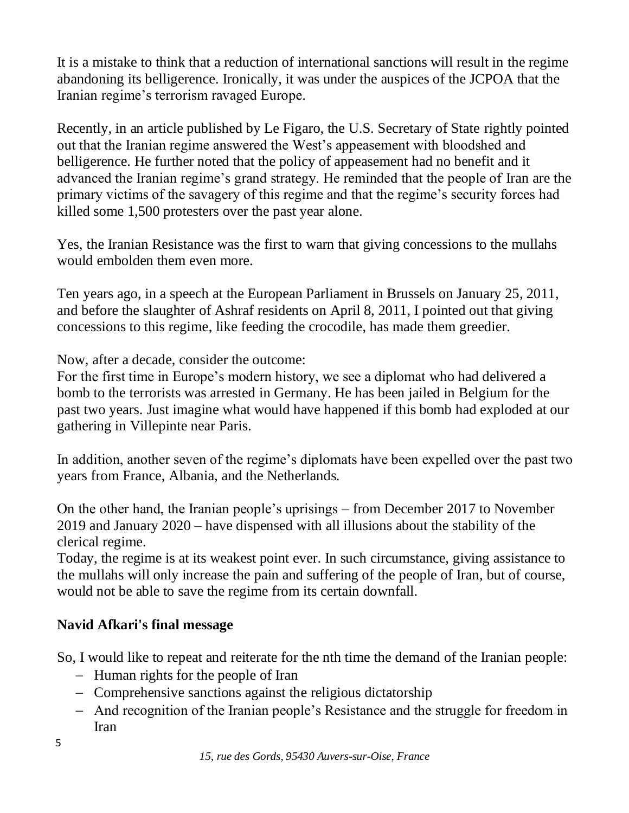It is a mistake to think that a reduction of international sanctions will result in the regime abandoning its belligerence. Ironically, it was under the auspices of the JCPOA that the Iranian regime's terrorism ravaged Europe.

Recently, in an article published by Le Figaro, the U.S. Secretary of State rightly pointed out that the Iranian regime answered the West's appeasement with bloodshed and belligerence. He further noted that the policy of appeasement had no benefit and it advanced the Iranian regime's grand strategy. He reminded that the people of Iran are the primary victims of the savagery of this regime and that the regime's security forces had killed some 1,500 protesters over the past year alone.

Yes, the Iranian Resistance was the first to warn that giving concessions to the mullahs would embolden them even more.

Ten years ago, in a speech at the European Parliament in Brussels on January 25, 2011, and before the slaughter of Ashraf residents on April 8, 2011, I pointed out that giving concessions to this regime, like feeding the crocodile, has made them greedier.

Now, after a decade, consider the outcome:

For the first time in Europe's modern history, we see a diplomat who had delivered a bomb to the terrorists was arrested in Germany. He has been jailed in Belgium for the past two years. Just imagine what would have happened if this bomb had exploded at our gathering in Villepinte near Paris.

In addition, another seven of the regime's diplomats have been expelled over the past two years from France, Albania, and the Netherlands.

On the other hand, the Iranian people's uprisings – from December 2017 to November 2019 and January 2020 – have dispensed with all illusions about the stability of the clerical regime.

Today, the regime is at its weakest point ever. In such circumstance, giving assistance to the mullahs will only increase the pain and suffering of the people of Iran, but of course, would not be able to save the regime from its certain downfall.

# **Navid Afkari's final message**

So, I would like to repeat and reiterate for the nth time the demand of the Iranian people:

- − Human rights for the people of Iran
- − Comprehensive sanctions against the religious dictatorship
- − And recognition of the Iranian people's Resistance and the struggle for freedom in Iran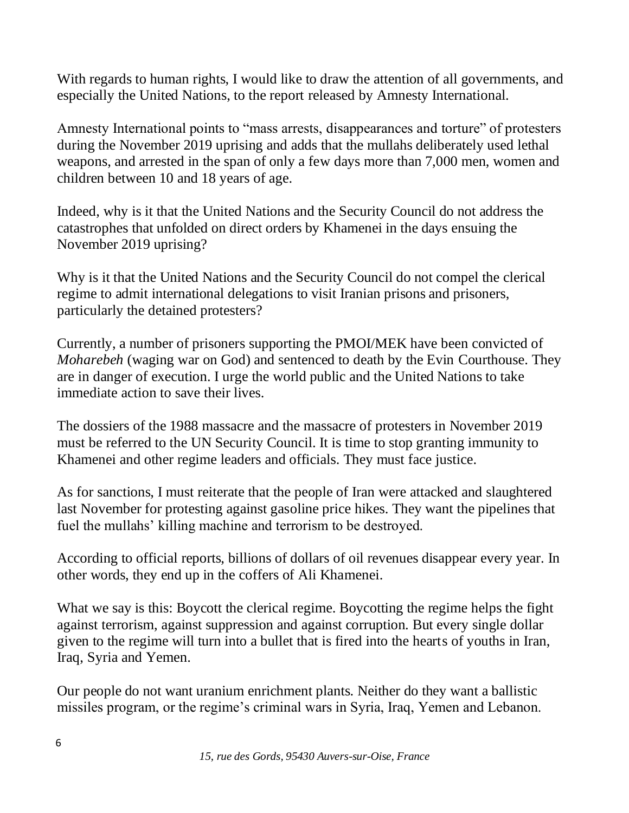With regards to human rights, I would like to draw the attention of all governments, and especially the United Nations, to the report released by Amnesty International.

Amnesty International points to "mass arrests, disappearances and torture" of protesters during the November 2019 uprising and adds that the mullahs deliberately used lethal weapons, and arrested in the span of only a few days more than 7,000 men, women and children between 10 and 18 years of age.

Indeed, why is it that the United Nations and the Security Council do not address the catastrophes that unfolded on direct orders by Khamenei in the days ensuing the November 2019 uprising?

Why is it that the United Nations and the Security Council do not compel the clerical regime to admit international delegations to visit Iranian prisons and prisoners, particularly the detained protesters?

Currently, a number of prisoners supporting the PMOI/MEK have been convicted of *Moharebeh* (waging war on God) and sentenced to death by the Evin Courthouse. They are in danger of execution. I urge the world public and the United Nations to take immediate action to save their lives.

The dossiers of the 1988 massacre and the massacre of protesters in November 2019 must be referred to the UN Security Council. It is time to stop granting immunity to Khamenei and other regime leaders and officials. They must face justice.

As for sanctions, I must reiterate that the people of Iran were attacked and slaughtered last November for protesting against gasoline price hikes. They want the pipelines that fuel the mullahs' killing machine and terrorism to be destroyed.

According to official reports, billions of dollars of oil revenues disappear every year. In other words, they end up in the coffers of Ali Khamenei.

What we say is this: Boycott the clerical regime. Boycotting the regime helps the fight against terrorism, against suppression and against corruption. But every single dollar given to the regime will turn into a bullet that is fired into the hearts of youths in Iran, Iraq, Syria and Yemen.

Our people do not want uranium enrichment plants. Neither do they want a ballistic missiles program, or the regime's criminal wars in Syria, Iraq, Yemen and Lebanon.